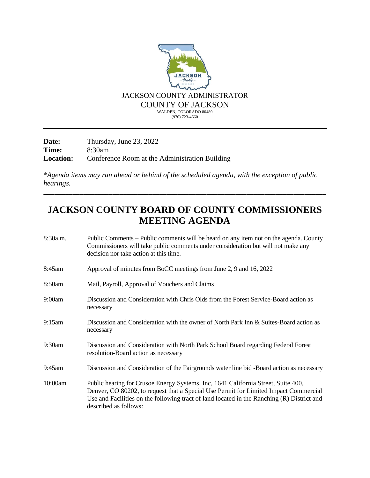

**Date:** Thursday, June 23, 2022<br>**Time:** 8:30am **Time:** 8:30am **Location:** Conference Room at the Administration Building

*\*Agenda items may run ahead or behind of the scheduled agenda, with the exception of public hearings.*

## **JACKSON COUNTY BOARD OF COUNTY COMMISSIONERS MEETING AGENDA**

\_\_\_\_\_\_\_\_\_\_\_\_\_\_\_\_\_\_\_\_\_\_\_\_\_\_\_\_\_\_\_\_\_\_\_\_\_\_\_\_\_\_\_\_\_\_\_\_\_\_\_\_\_\_\_\_\_\_\_\_\_\_\_\_\_\_\_\_\_\_\_\_\_\_\_\_\_\_

| 8:30a.m. | Public Comments – Public comments will be heard on any item not on the agenda. County<br>Commissioners will take public comments under consideration but will not make any<br>decision nor take action at this time.                                                                             |
|----------|--------------------------------------------------------------------------------------------------------------------------------------------------------------------------------------------------------------------------------------------------------------------------------------------------|
| 8:45am   | Approval of minutes from BoCC meetings from June 2, 9 and 16, 2022                                                                                                                                                                                                                               |
| 8:50am   | Mail, Payroll, Approval of Vouchers and Claims                                                                                                                                                                                                                                                   |
| 9:00am   | Discussion and Consideration with Chris Olds from the Forest Service-Board action as<br>necessary                                                                                                                                                                                                |
| 9:15am   | Discussion and Consideration with the owner of North Park Inn & Suites-Board action as<br>necessary                                                                                                                                                                                              |
| 9:30am   | Discussion and Consideration with North Park School Board regarding Federal Forest<br>resolution-Board action as necessary                                                                                                                                                                       |
| 9:45am   | Discussion and Consideration of the Fairgrounds water line bid -Board action as necessary                                                                                                                                                                                                        |
| 10:00am  | Public hearing for Crusoe Energy Systems, Inc, 1641 California Street, Suite 400,<br>Denver, CO 80202, to request that a Special Use Permit for Limited Impact Commercial<br>Use and Facilities on the following tract of land located in the Ranching (R) District and<br>described as follows: |